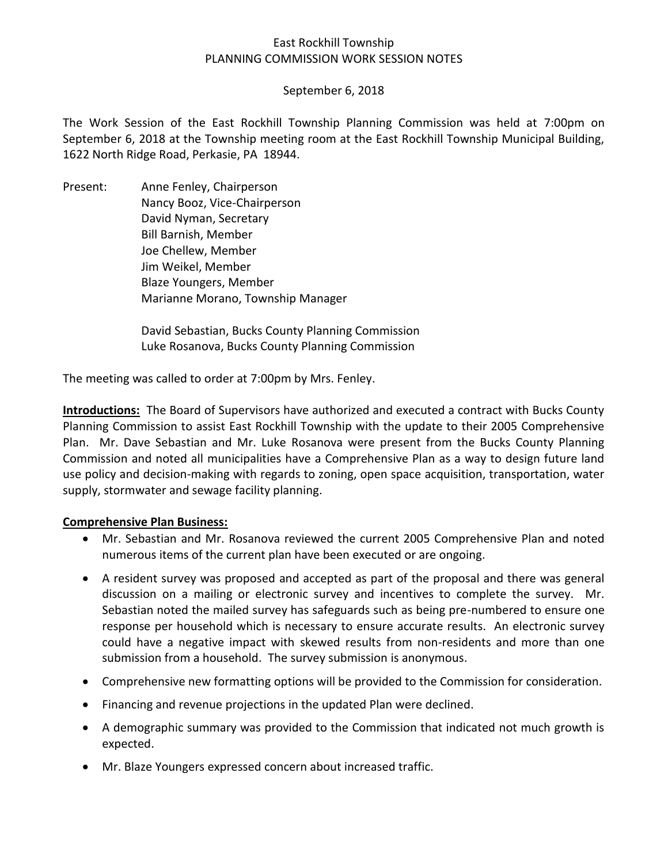## East Rockhill Township PLANNING COMMISSION WORK SESSION NOTES

## September 6, 2018

The Work Session of the East Rockhill Township Planning Commission was held at 7:00pm on September 6, 2018 at the Township meeting room at the East Rockhill Township Municipal Building, 1622 North Ridge Road, Perkasie, PA 18944.

Present: Anne Fenley, Chairperson Nancy Booz, Vice-Chairperson David Nyman, Secretary Bill Barnish, Member Joe Chellew, Member Jim Weikel, Member Blaze Youngers, Member Marianne Morano, Township Manager

> David Sebastian, Bucks County Planning Commission Luke Rosanova, Bucks County Planning Commission

The meeting was called to order at 7:00pm by Mrs. Fenley.

**Introductions:** The Board of Supervisors have authorized and executed a contract with Bucks County Planning Commission to assist East Rockhill Township with the update to their 2005 Comprehensive Plan.Mr. Dave Sebastian and Mr. Luke Rosanova were present from the Bucks County Planning Commission and noted all municipalities have a Comprehensive Plan as a way to design future land use policy and decision-making with regards to zoning, open space acquisition, transportation, water supply, stormwater and sewage facility planning.

## **Comprehensive Plan Business:**

- Mr. Sebastian and Mr. Rosanova reviewed the current 2005 Comprehensive Plan and noted numerous items of the current plan have been executed or are ongoing.
- A resident survey was proposed and accepted as part of the proposal and there was general discussion on a mailing or electronic survey and incentives to complete the survey. Mr. Sebastian noted the mailed survey has safeguards such as being pre-numbered to ensure one response per household which is necessary to ensure accurate results. An electronic survey could have a negative impact with skewed results from non-residents and more than one submission from a household. The survey submission is anonymous.
- Comprehensive new formatting options will be provided to the Commission for consideration.
- Financing and revenue projections in the updated Plan were declined.
- A demographic summary was provided to the Commission that indicated not much growth is expected.
- Mr. Blaze Youngers expressed concern about increased traffic.